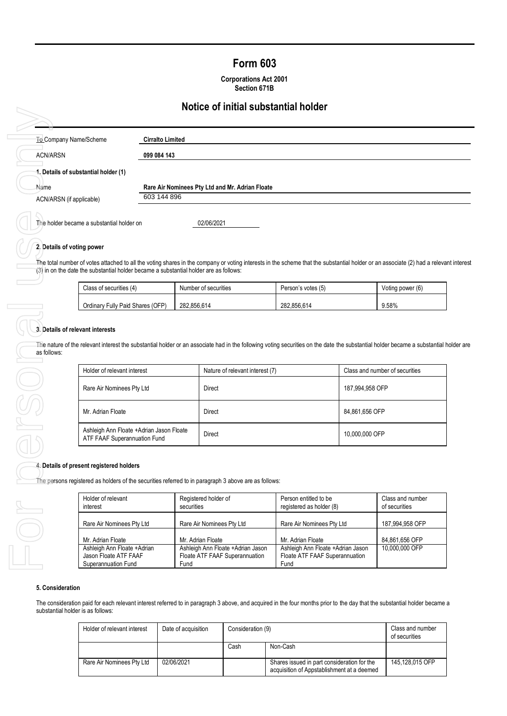# **Form 603**

**Corporations Act 2001 Section 671B**

## **Notice of initial substantial holder**

|                                      | <u>NUNCE OF ININGI SUDSTANNIAI NUMER</u>        |
|--------------------------------------|-------------------------------------------------|
| To Company Name/Scheme               | <b>Cirralto Limited</b>                         |
| <b>ACN/ARSN</b>                      | 099 084 143                                     |
| 1. Details of substantial holder (1) |                                                 |
| Name                                 | Rare Air Nominees Pty Ltd and Mr. Adrian Floate |
|                                      |                                                 |

### **2. Details of voting power**

The total number of votes attached to all the voting shares in the company or voting interests in the scheme that the substantial holder or an associate (2) had a relevant interest (3) in on the date the substantial holder became a substantial holder are as follows:

| Class of securities (4)          | Number of securities | Person's votes (5) | Voting power (6) |
|----------------------------------|----------------------|--------------------|------------------|
| Ordinary Fully Paid Shares (OFP) | 282.856.614          | 282.856.614        | 9.58%            |

#### **3. Details of relevant interests**

The nature of the relevant interest the substantial holder or an associate had in the following voting securities on the date the substantial holder became a substantial holder are as follows:

| Holder of relevant interest                                              | Nature of relevant interest (7) | Class and number of securities |
|--------------------------------------------------------------------------|---------------------------------|--------------------------------|
| Rare Air Nominees Pty Ltd                                                | Direct                          | 187,994,958 OFP                |
| Mr. Adrian Floate                                                        | Direct                          | 84,861,656 OFP                 |
| Ashleigh Ann Floate +Adrian Jason Floate<br>ATF FAAF Superannuation Fund | <b>Direct</b>                   | 10,000,000 OFP                 |

### **4. Details of present registered holders**

The persons registered as holders of the securities referred to in paragraph 3 above are as follows:

| Holder of relevant           | Registered holder of               | Person entitled to be             | Class and number |
|------------------------------|------------------------------------|-----------------------------------|------------------|
| interest                     | securities                         | registered as holder (8)          | of securities    |
| Rare Air Nominees Pty Ltd    | Rare Air Nominees Pty Ltd          | Rare Air Nominees Pty Ltd         | 187,994,958 OFP  |
| Mr. Adrian Floate            | Mr. Adrian Floate                  | Mr. Adrian Floate                 | 84,861,656 OFP   |
| Ashleigh Ann Floate + Adrian | Ashleigh Ann Floate + Adrian Jason | Ashleigh Ann Floate +Adrian Jason | 10,000,000 OFP   |
| Jason Floate ATF FAAF        | Floate ATF FAAF Superannuation     | Floate ATF FAAF Superannuation    |                  |
| Superannuation Fund          | Fund                               | Fund                              |                  |

#### **5. Consideration**

The consideration paid for each relevant interest referred to in paragraph 3 above, and acquired in the four months prior to the day that the substantial holder became a substantial holder is as follows:

| Holder of relevant interest | Date of acquisition | Consideration (9) |                                                                                           | Class and number<br>of securities |
|-----------------------------|---------------------|-------------------|-------------------------------------------------------------------------------------------|-----------------------------------|
|                             |                     | Cash              | Non-Cash                                                                                  |                                   |
| Rare Air Nominees Pty Ltd   | 02/06/2021          |                   | Shares issued in part consideration for the<br>acquisition of Appstablishment at a deemed | 145.128.015 OFP                   |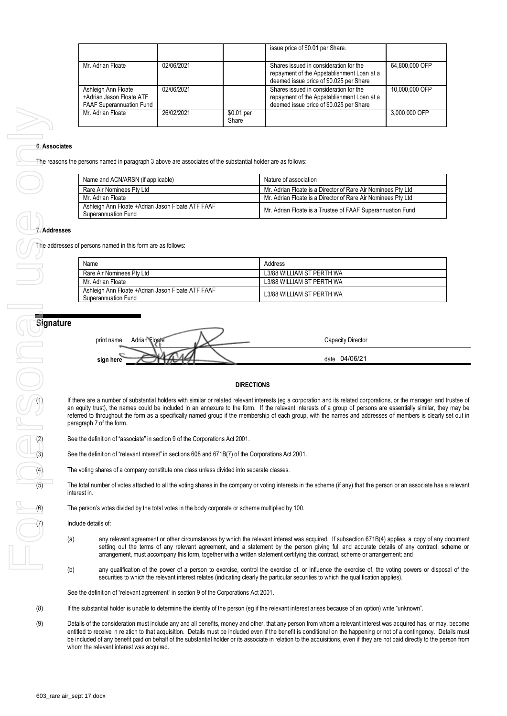|                                                                                    |            |                     | issue price of \$0.01 per Share.                                                                                                |                |
|------------------------------------------------------------------------------------|------------|---------------------|---------------------------------------------------------------------------------------------------------------------------------|----------------|
| Mr. Adrian Floate                                                                  | 02/06/2021 |                     | Shares issued in consideration for the<br>repayment of the Appstablishment Loan at a<br>deemed issue price of \$0.025 per Share | 64.800.000 OFP |
| Ashleigh Ann Floate<br>+Adrian Jason Floate ATF<br><b>FAAF Superannuation Fund</b> | 02/06/2021 |                     | Shares issued in consideration for the<br>repayment of the Appstablishment Loan at a<br>deemed issue price of \$0.025 per Share | 10,000,000 OFP |
| Mr. Adrian Floate                                                                  | 26/02/2021 | \$0.01 per<br>Share |                                                                                                                                 | 3.000.000 OFP  |

#### **6. Associates**

The reasons the persons named in paragraph 3 above are associates of the substantial holder are as follows:

| Name and ACN/ARSN (if applicable)                                        | Nature of association                                        |
|--------------------------------------------------------------------------|--------------------------------------------------------------|
| Rare Air Nominees Pty Ltd                                                | Mr. Adrian Floate is a Director of Rare Air Nominees Pty Ltd |
| Mr. Adrian Floate                                                        | Mr. Adrian Floate is a Director of Rare Air Nominees Pty Ltd |
| Ashleigh Ann Floate +Adrian Jason Floate ATF FAAF<br>Superannuation Fund | Mr. Adrian Floate is a Trustee of FAAF Superannuation Fund   |

#### **7. Addresses**

The addresses of persons named in this form are as follows:

| Name                                                                     | Address                   |
|--------------------------------------------------------------------------|---------------------------|
| Rare Air Nominees Pty Ltd                                                | L3/88 WILLIAM ST PERTH WA |
| Mr. Adrian Floate                                                        | L3/88 WILLIAM ST PERTH WA |
| Ashleigh Ann Floate +Adrian Jason Floate ATF FAAF<br>Superannuation Fund | L3/88 WILLIAM ST PERTH WA |



#### **DIRECTIONS**

If there are a number of substantial holders with similar or related relevant interests (eg a corporation and its related corporations, or the manager and trustee of an equity trust), the names could be included in an annexure to the form. If the relevant interests of a group of persons are essentially similar, they may be referred to throughout the form as a specifically named group if the membership of each group, with the names and addresses o f members is clearly set out in paragraph 7 of the form.

See the definition of "relevant interest" in sections 608 and 671B(7) of the Corporations Act 2001.

The voting shares of a company constitute one class unless divided into separate classes.

(2) See the definition of "associate" in section 9 of the Corporations Act 2001.<br>
See the definition of "relevant interest" in sections 608 and 671B(7) of the<br>
The voting shares of a company constitute one class unless div The total number of votes attached to all the voting shares in the company or voting interests in the scheme (if any) that the person or an associate has a relevant interest in.

The person's votes divided by the total votes in the body corporate or scheme multiplied by 100.

Include details of:

- (a) any relevant agreement or other circumstances by which the relevant interest was acquired. If subsection 671B(4) applies, a copy of any document setting out the terms of any relevant agreement, and a statement by the person giving full and accurate details of any contract, scheme or arrangement, must accompany this form, together with a written statement certifying this contract, scheme or arrangement; and
- (b) any qualification of the power of a person to exercise, control the exercise of, or influence the exercise of, the voting powers or disposal of the securities to which the relevant interest relates (indicating clearly the particular securities to which the qualification applies).

See the definition of "relevant agreement" in section 9 of the Corporations Act 2001.

- (8) If the substantial holder is unable to determine the identity of the person (eg if the relevant interest arises because of an option) write "unknown".
- (9) Details of the consideration must include any and all benefits, money and other, that any person from whom a relevant interest was acquired has, or may, become entitled to receive in relation to that acquisition. Details must be included even if the benefit is conditional on the happening or not of a contingency. Details must be included of any benefit paid on behalf of the substantial holder or its associate in relation to the acquisitions, even if they are not paid directly to the person from whom the relevant interest was acquired.